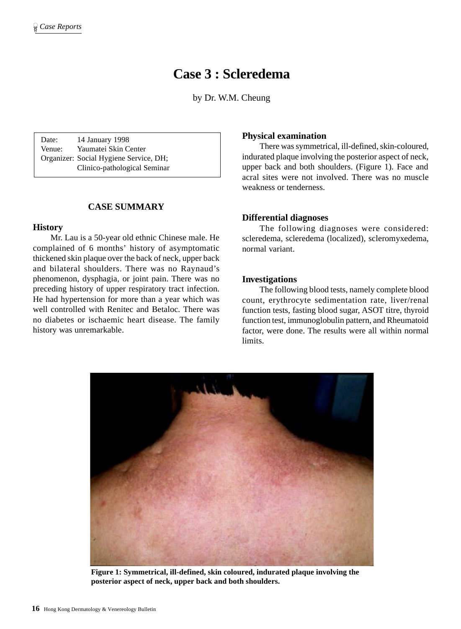# **Case 3 : Scleredema**

by Dr. W.M. Cheung

Date: 14 January 1998 Venue: Yaumatei Skin Center Organizer: Social Hygiene Service, DH; Clinico-pathological Seminar

# **CASE SUMMARY**

### **History**

Mr. Lau is a 50-year old ethnic Chinese male. He complained of 6 months' history of asymptomatic thickened skin plaque over the back of neck, upper back and bilateral shoulders. There was no Raynaud's phenomenon, dysphagia, or joint pain. There was no preceding history of upper respiratory tract infection. He had hypertension for more than a year which was well controlled with Renitec and Betaloc. There was no diabetes or ischaemic heart disease. The family history was unremarkable.

# **Physical examination**

There was symmetrical, ill-defined, skin-coloured, indurated plaque involving the posterior aspect of neck, upper back and both shoulders. (Figure 1). Face and acral sites were not involved. There was no muscle weakness or tenderness.

## **Differential diagnoses**

The following diagnoses were considered: scleredema, scleredema (localized), scleromyxedema, normal variant.

## **Investigations**

The following blood tests, namely complete blood count, erythrocyte sedimentation rate, liver/renal function tests, fasting blood sugar, ASOT titre, thyroid function test, immunoglobulin pattern, and Rheumatoid factor, were done. The results were all within normal limits.



**Figure 1: Symmetrical, ill-defined, skin coloured, indurated plaque involving the posterior aspect of neck, upper back and both shoulders.**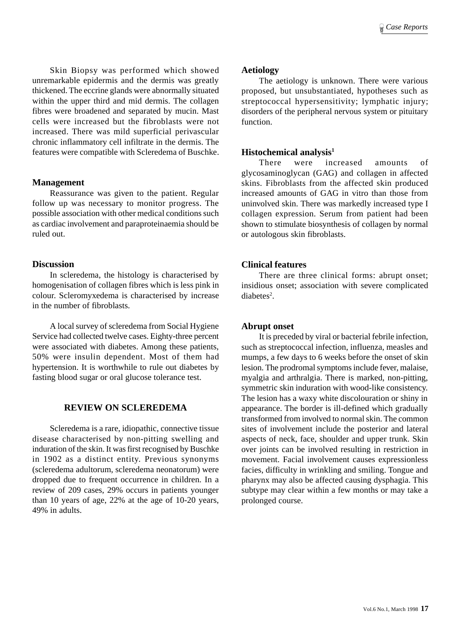Skin Biopsy was performed which showed unremarkable epidermis and the dermis was greatly thickened. The eccrine glands were abnormally situated within the upper third and mid dermis. The collagen fibres were broadened and separated by mucin. Mast cells were increased but the fibroblasts were not increased. There was mild superficial perivascular chronic inflammatory cell infiltrate in the dermis. The features were compatible with Scleredema of Buschke.

### **Management**

Reassurance was given to the patient. Regular follow up was necessary to monitor progress. The possible association with other medical conditions such as cardiac involvement and paraproteinaemia should be ruled out.

### **Discussion**

In scleredema, the histology is characterised by homogenisation of collagen fibres which is less pink in colour. Scleromyxedema is characterised by increase in the number of fibroblasts.

A local survey of scleredema from Social Hygiene Service had collected twelve cases. Eighty-three percent were associated with diabetes. Among these patients, 50% were insulin dependent. Most of them had hypertension. It is worthwhile to rule out diabetes by fasting blood sugar or oral glucose tolerance test.

# **REVIEW ON SCLEREDEMA**

Scleredema is a rare, idiopathic, connective tissue disease characterised by non-pitting swelling and induration of the skin. It was first recognised by Buschke in 1902 as a distinct entity. Previous synonyms (scleredema adultorum, scleredema neonatorum) were dropped due to frequent occurrence in children. In a review of 209 cases, 29% occurs in patients younger than 10 years of age, 22% at the age of 10-20 years, 49% in adults.

## **Aetiology**

The aetiology is unknown. There were various proposed, but unsubstantiated, hypotheses such as streptococcal hypersensitivity; lymphatic injury; disorders of the peripheral nervous system or pituitary function.

# **Histochemical analysis1**

There were increased amounts of glycosaminoglycan (GAG) and collagen in affected skins. Fibroblasts from the affected skin produced increased amounts of GAG in vitro than those from uninvolved skin. There was markedly increased type I collagen expression. Serum from patient had been shown to stimulate biosynthesis of collagen by normal or autologous skin fibroblasts.

# **Clinical features**

There are three clinical forms: abrupt onset; insidious onset; association with severe complicated  $diabetes<sup>2</sup>$ .

# **Abrupt onset**

It is preceded by viral or bacterial febrile infection, such as streptococcal infection, influenza, measles and mumps, a few days to 6 weeks before the onset of skin lesion. The prodromal symptoms include fever, malaise, myalgia and arthralgia. There is marked, non-pitting, symmetric skin induration with wood-like consistency. The lesion has a waxy white discolouration or shiny in appearance. The border is ill-defined which gradually transformed from involved to normal skin. The common sites of involvement include the posterior and lateral aspects of neck, face, shoulder and upper trunk. Skin over joints can be involved resulting in restriction in movement. Facial involvement causes expressionless facies, difficulty in wrinkling and smiling. Tongue and pharynx may also be affected causing dysphagia. This subtype may clear within a few months or may take a prolonged course.